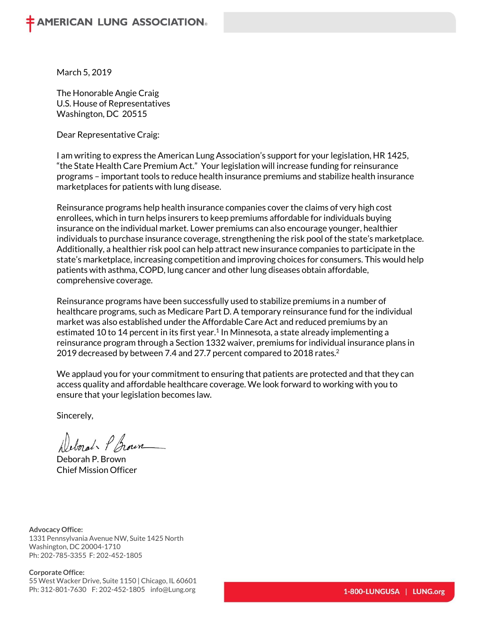March 5, 2019

The Honorable Angie Craig U.S. House of Representatives Washington, DC 20515

Dear Representative Craig:

I am writing to express the American Lung Association's support for your legislation, HR 1425, "the State Health Care Premium Act." Your legislation will increase funding for reinsurance programs – important tools to reduce health insurance premiums and stabilize health insurance marketplaces for patients with lung disease.

Reinsurance programs help health insurance companies cover the claims of very high cost enrollees, which in turn helps insurers to keep premiums affordable for individuals buying insurance on the individual market. Lower premiums can also encourage younger, healthier individuals to purchase insurance coverage, strengthening the risk pool of the state's marketplace. Additionally, a healthier risk pool can help attract new insurance companies to participate in the state's marketplace, increasing competition and improving choices for consumers. This would help patients with asthma, COPD, lung cancer and other lung diseases obtain affordable, comprehensive coverage.

Reinsurance programs have been successfully used to stabilize premiums in a number of healthcare programs, such as Medicare Part D. A temporary reinsurance fund for the individual market was also established under the Affordable Care Act and reduced premiums by an estimated 10 to 14 percent in its first year.<sup>1</sup> In Minnesota, a state already implementing a reinsurance program through a Section 1332 waiver, premiums for individual insurance plans in 2019 decreased by between 7.4 and 27.7 percent compared to 2018 rates.<sup>2</sup>

We applaud you for your commitment to ensuring that patients are protected and that they can access quality and affordable healthcare coverage. We look forward to working with you to ensure that your legislation becomes law.

Sincerely,

Deborat P Grown

Deborah P. Brown Chief Mission Officer

**Advocacy Office:** 1331 Pennsylvania Avenue NW, Suite 1425 North Washington, DC 20004-1710 Ph: 202-785-3355 F: 202-452-1805

## **Corporate Office:**

55 West Wacker Drive, Suite 1150 | Chicago, IL 60601 Ph: 312-801-7630 F: 202-452-1805 info@Lung.org